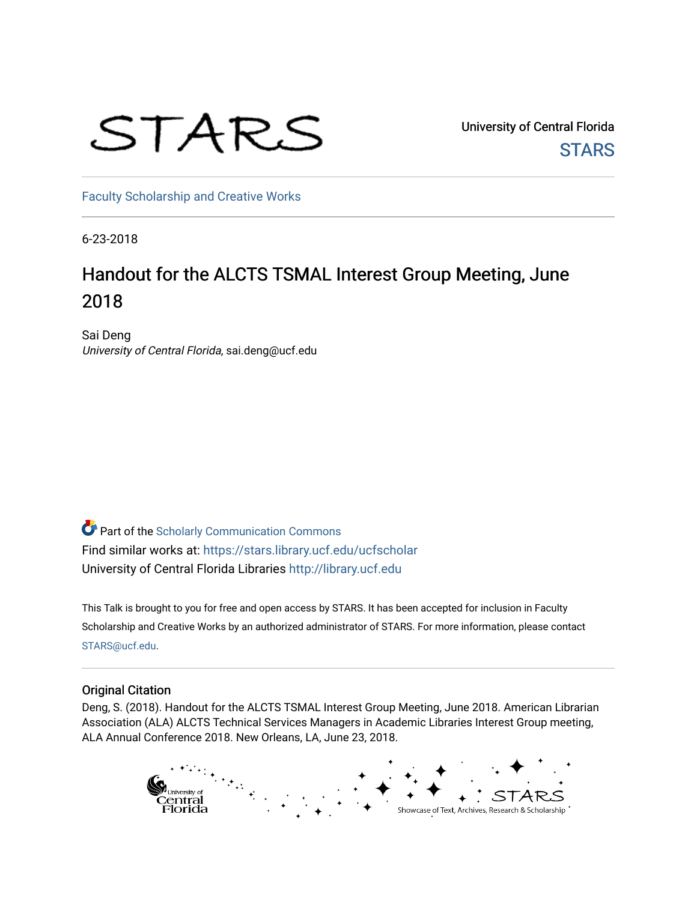# STARS

University of Central Florida **STARS** 

[Faculty Scholarship and Creative Works](https://stars.library.ucf.edu/ucfscholar) 

6-23-2018

# Handout for the ALCTS TSMAL Interest Group Meeting, June 2018

Sai Deng University of Central Florida, sai.deng@ucf.edu

**Part of the Scholarly Communication Commons** Find similar works at: <https://stars.library.ucf.edu/ucfscholar> University of Central Florida Libraries [http://library.ucf.edu](http://library.ucf.edu/) 

This Talk is brought to you for free and open access by STARS. It has been accepted for inclusion in Faculty Scholarship and Creative Works by an authorized administrator of STARS. For more information, please contact [STARS@ucf.edu](mailto:STARS@ucf.edu).

### Original Citation

Deng, S. (2018). Handout for the ALCTS TSMAL Interest Group Meeting, June 2018. American Librarian Association (ALA) ALCTS Technical Services Managers in Academic Libraries Interest Group meeting, ALA Annual Conference 2018. New Orleans, LA, June 23, 2018.

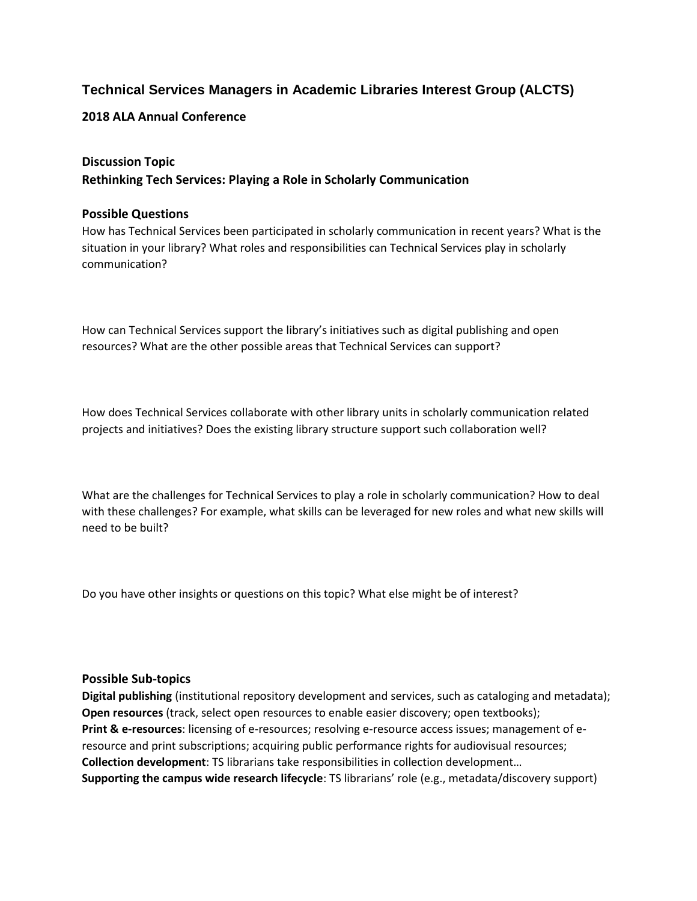# **Technical Services Managers in Academic Libraries Interest Group (ALCTS)**

**2018 ALA Annual Conference**

# **Discussion Topic Rethinking Tech Services: Playing a Role in Scholarly Communication**

## **Possible Questions**

How has Technical Services been participated in scholarly communication in recent years? What is the situation in your library? What roles and responsibilities can Technical Services play in scholarly communication?

How can Technical Services support the library's initiatives such as digital publishing and open resources? What are the other possible areas that Technical Services can support?

How does Technical Services collaborate with other library units in scholarly communication related projects and initiatives? Does the existing library structure support such collaboration well?

What are the challenges for Technical Services to play a role in scholarly communication? How to deal with these challenges? For example, what skills can be leveraged for new roles and what new skills will need to be built?

Do you have other insights or questions on this topic? What else might be of interest?

### **Possible Sub-topics**

**Digital publishing** (institutional repository development and services, such as cataloging and metadata); **Open resources** (track, select open resources to enable easier discovery; open textbooks); **Print & e-resources**: licensing of e-resources; resolving e-resource access issues; management of eresource and print subscriptions; acquiring public performance rights for audiovisual resources; **Collection development**: TS librarians take responsibilities in collection development… **Supporting the campus wide research lifecycle**: TS librarians' role (e.g., metadata/discovery support)